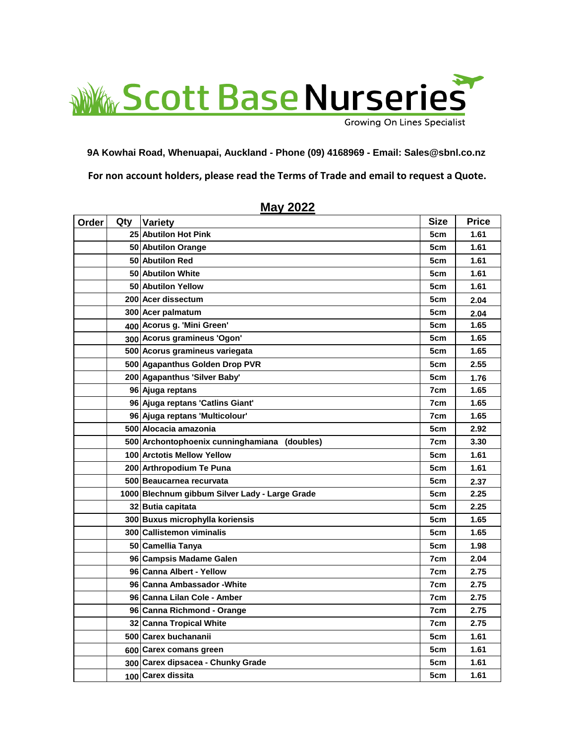

**For non account holders, please read the Terms of Trade and email to request a Quote. 9A Kowhai Road, Whenuapai, Auckland - Phone (09) 4168969 - Email: Sales@sbnl.co.nz**

| Order | Qty | <b>Variety</b>                                 | <b>Size</b> | <b>Price</b> |
|-------|-----|------------------------------------------------|-------------|--------------|
|       |     | 25 Abutilon Hot Pink                           | 5cm         | 1.61         |
|       |     | 50 Abutilon Orange                             | 5cm         | 1.61         |
|       |     | 50 Abutilon Red                                | 5cm         | 1.61         |
|       |     | 50 Abutilon White                              | 5cm         | 1.61         |
|       |     | 50 Abutilon Yellow                             | 5cm         | 1.61         |
|       |     | 200 Acer dissectum                             | 5cm         | 2.04         |
|       |     | 300 Acer palmatum                              | 5cm         | 2.04         |
|       |     | 400 Acorus g. 'Mini Green'                     | 5cm         | 1.65         |
|       |     | 300 Acorus gramineus 'Ogon'                    | 5cm         | 1.65         |
|       |     | 500 Acorus gramineus variegata                 | 5cm         | 1.65         |
|       |     | 500 Agapanthus Golden Drop PVR                 | 5cm         | 2.55         |
|       |     | 200 Agapanthus 'Silver Baby'                   | 5cm         | 1.76         |
|       |     | 96 Ajuga reptans                               | 7cm         | 1.65         |
|       |     | 96 Ajuga reptans 'Catlins Giant'               | 7cm         | 1.65         |
|       |     | 96 Ajuga reptans 'Multicolour'                 | 7cm         | 1.65         |
|       |     | 500 Alocacia amazonia                          | 5cm         | 2.92         |
|       |     | 500 Archontophoenix cunninghamiana (doubles)   | 7cm         | 3.30         |
|       |     | 100 Arctotis Mellow Yellow                     | 5cm         | 1.61         |
|       |     | 200 Arthropodium Te Puna                       | 5cm         | 1.61         |
|       |     | 500 Beaucarnea recurvata                       | 5cm         | 2.37         |
|       |     | 1000 Blechnum gibbum Silver Lady - Large Grade | 5cm         | 2.25         |
|       |     | 32 Butia capitata                              | 5cm         | 2.25         |
|       |     | 300 Buxus microphylla koriensis                | 5cm         | 1.65         |
|       |     | 300 Callistemon viminalis                      | 5cm         | 1.65         |
|       |     | 50 Camellia Tanya                              | 5cm         | 1.98         |
|       |     | 96 Campsis Madame Galen                        | 7cm         | 2.04         |
|       |     | 96 Canna Albert - Yellow                       | 7cm         | 2.75         |
|       |     | 96 Canna Ambassador - White                    | 7cm         | 2.75         |
|       |     | 96 Canna Lilan Cole - Amber                    | 7cm         | 2.75         |
|       |     | 96 Canna Richmond - Orange                     | 7cm         | 2.75         |
|       |     | 32 Canna Tropical White                        | 7cm         | 2.75         |
|       |     | 500 Carex buchananii                           | 5cm         | 1.61         |
|       |     | 600 Carex comans green                         | 5cm         | 1.61         |
|       |     | 300 Carex dipsacea - Chunky Grade              | 5cm         | 1.61         |
|       |     | 100 Carex dissita                              | 5cm         | 1.61         |

## **May 2022**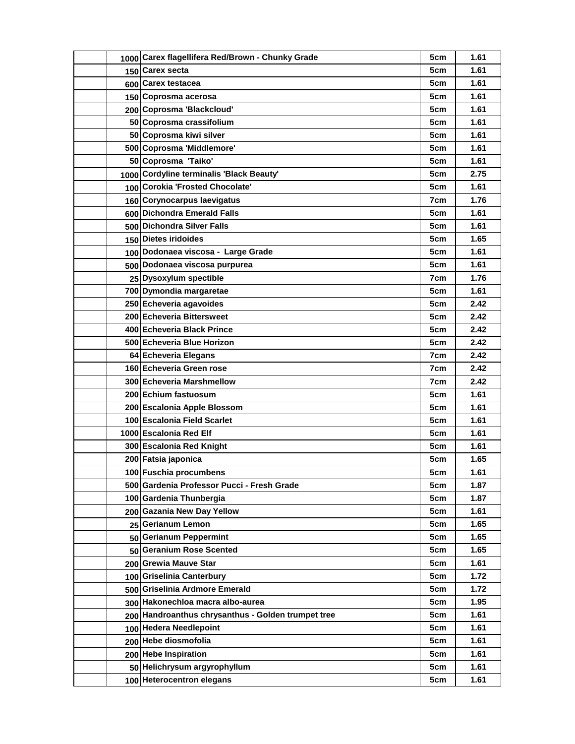| 1000 Carex flagellifera Red/Brown - Chunky Grade   | 5cm | 1.61 |
|----------------------------------------------------|-----|------|
| 150 Carex secta                                    | 5cm | 1.61 |
| 600 Carex testacea                                 | 5cm | 1.61 |
| 150 Coprosma acerosa                               | 5cm | 1.61 |
| 200 Coprosma 'Blackcloud'                          | 5cm | 1.61 |
| 50 Coprosma crassifolium                           | 5cm | 1.61 |
| 50 Coprosma kiwi silver                            | 5cm | 1.61 |
| 500 Coprosma 'Middlemore'                          | 5cm | 1.61 |
| 50 Coprosma 'Taiko'                                | 5cm | 1.61 |
| 1000 Cordyline terminalis 'Black Beauty'           | 5cm | 2.75 |
| 100 Corokia 'Frosted Chocolate'                    | 5cm | 1.61 |
| 160 Corynocarpus laevigatus                        | 7cm | 1.76 |
| 600 Dichondra Emerald Falls                        | 5cm | 1.61 |
| 500 Dichondra Silver Falls                         | 5cm | 1.61 |
| 150 Dietes iridoides                               | 5cm | 1.65 |
| 100 Dodonaea viscosa - Large Grade                 | 5cm | 1.61 |
| 500 Dodonaea viscosa purpurea                      | 5cm | 1.61 |
| 25 Dysoxylum spectible                             | 7cm | 1.76 |
| 700 Dymondia margaretae                            | 5cm | 1.61 |
| 250 Echeveria agavoides                            | 5cm | 2.42 |
| 200 Echeveria Bittersweet                          | 5cm | 2.42 |
| 400 Echeveria Black Prince                         | 5cm | 2.42 |
| 500 Echeveria Blue Horizon                         | 5cm | 2.42 |
| 64 Echeveria Elegans                               | 7cm | 2.42 |
| 160 Echeveria Green rose                           | 7cm | 2.42 |
| 300 Echeveria Marshmellow                          | 7cm | 2.42 |
| 200 Echium fastuosum                               | 5cm | 1.61 |
| 200 Escalonia Apple Blossom                        | 5cm | 1.61 |
| 100 Escalonia Field Scarlet                        | 5cm | 1.61 |
| 1000 Escalonia Red Elf                             | 5cm | 1.61 |
| 300 Escalonia Red Knight                           | 5cm | 1.61 |
| 200 Fatsia japonica                                | 5cm | 1.65 |
| 100 Fuschia procumbens                             | 5cm | 1.61 |
| 500 Gardenia Professor Pucci - Fresh Grade         | 5cm | 1.87 |
| 100 Gardenia Thunbergia                            | 5cm | 1.87 |
| 200 Gazania New Day Yellow                         | 5cm | 1.61 |
| 25 Gerianum Lemon                                  | 5cm | 1.65 |
| 50 Gerianum Peppermint                             | 5cm | 1.65 |
| 50 Geranium Rose Scented                           | 5cm | 1.65 |
| 200 Grewia Mauve Star                              | 5cm | 1.61 |
| 100 Griselinia Canterbury                          | 5cm | 1.72 |
| 500 Griselinia Ardmore Emerald                     | 5cm | 1.72 |
| 300 Hakonechloa macra albo-aurea                   | 5cm | 1.95 |
| 200 Handroanthus chrysanthus - Golden trumpet tree | 5cm | 1.61 |
| 100 Hedera Needlepoint                             | 5cm | 1.61 |
| 200 Hebe diosmofolia                               | 5cm | 1.61 |
| 200 Hebe Inspiration                               | 5cm | 1.61 |
| 50 Helichrysum argyrophyllum                       | 5cm | 1.61 |
| 100 Heterocentron elegans                          | 5cm | 1.61 |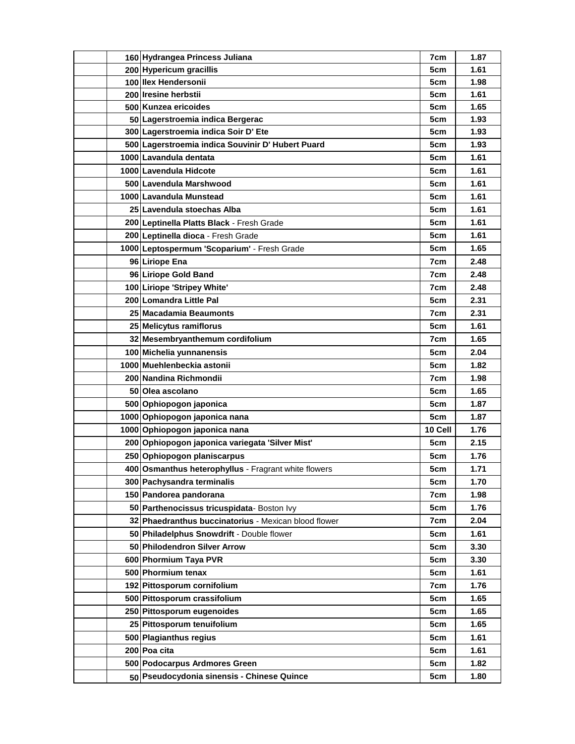| 160 Hydrangea Princess Juliana                       | 7cm     | 1.87 |
|------------------------------------------------------|---------|------|
| 200 Hypericum gracillis                              | 5cm     | 1.61 |
| 100 Ilex Hendersonii                                 | 5cm     | 1.98 |
| 200 Iresine herbstii                                 | 5cm     | 1.61 |
| 500 Kunzea ericoides                                 | 5cm     | 1.65 |
| 50 Lagerstroemia indica Bergerac                     | 5cm     | 1.93 |
| 300 Lagerstroemia indica Soir D' Ete                 | 5cm     | 1.93 |
| 500 Lagerstroemia indica Souvinir D' Hubert Puard    | 5cm     | 1.93 |
| 1000 Lavandula dentata                               | 5cm     | 1.61 |
| 1000 Lavendula Hidcote                               | 5cm     | 1.61 |
| 500 Lavendula Marshwood                              | 5cm     | 1.61 |
| 1000 Lavandula Munstead                              | 5cm     | 1.61 |
| 25 Lavendula stoechas Alba                           | 5cm     | 1.61 |
| 200 Leptinella Platts Black - Fresh Grade            | 5cm     | 1.61 |
| 200 Leptinella dioca - Fresh Grade                   | 5cm     | 1.61 |
| 1000 Leptospermum 'Scoparium' - Fresh Grade          | 5cm     | 1.65 |
| 96 Liriope Ena                                       | 7cm     | 2.48 |
| 96 Liriope Gold Band                                 | 7cm     | 2.48 |
| 100 Liriope 'Stripey White'                          | 7cm     | 2.48 |
| 200 Lomandra Little Pal                              | 5cm     | 2.31 |
| 25 Macadamia Beaumonts                               | 7cm     | 2.31 |
| 25 Melicytus ramiflorus                              | 5cm     | 1.61 |
| 32 Mesembryanthemum cordifolium                      | 7cm     | 1.65 |
| 100 Michelia yunnanensis                             | 5cm     | 2.04 |
| 1000 Muehlenbeckia astonii                           | 5cm     | 1.82 |
| 200 Nandina Richmondii                               | 7cm     | 1.98 |
| 50 Olea ascolano                                     | 5cm     | 1.65 |
| 500 Ophiopogon japonica                              | 5cm     | 1.87 |
| 1000 Ophiopogon japonica nana                        | 5cm     | 1.87 |
| 1000 Ophiopogon japonica nana                        | 10 Cell | 1.76 |
| 200 Ophiopogon japonica variegata 'Silver Mist'      | 5cm     | 2.15 |
| 250 Ophiopogon planiscarpus                          | 5cm     | 1.76 |
| 400 Osmanthus heterophyllus - Fragrant white flowers | 5cm     | 1.71 |
| 300 Pachysandra terminalis                           | 5cm     | 1.70 |
| 150 Pandorea pandorana                               | 7cm     | 1.98 |
| 50 Parthenocissus tricuspidata-Boston Ivy            | 5cm     | 1.76 |
| 32 Phaedranthus buccinatorius - Mexican blood flower | 7cm     | 2.04 |
| 50 Philadelphus Snowdrift - Double flower            | 5cm     | 1.61 |
| 50 Philodendron Silver Arrow                         | 5cm     | 3.30 |
| 600 Phormium Taya PVR                                | 5cm     | 3.30 |
| 500 Phormium tenax                                   | 5cm     | 1.61 |
| 192 Pittosporum cornifolium                          | 7cm     | 1.76 |
| 500 Pittosporum crassifolium                         | 5cm     | 1.65 |
| 250 Pittosporum eugenoides                           | 5cm     | 1.65 |
| 25 Pittosporum tenuifolium                           | 5cm     | 1.65 |
| 500 Plagianthus regius                               | 5cm     | 1.61 |
| 200 Poa cita                                         | 5cm     | 1.61 |
| 500 Podocarpus Ardmores Green                        | 5cm     | 1.82 |
| 50 Pseudocydonia sinensis - Chinese Quince           | 5cm     | 1.80 |